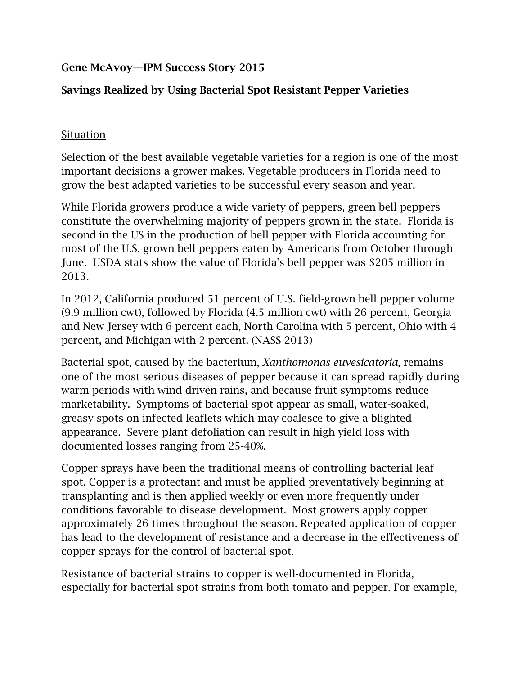## Gene McAvoy—IPM Success Story 2015

## Savings Realized by Using Bacterial Spot Resistant Pepper Varieties

## Situation

Selection of the best available vegetable varieties for a region is one of the most important decisions a grower makes. Vegetable producers in Florida need to grow the best adapted varieties to be successful every season and year.

While Florida growers produce a wide variety of peppers, green bell peppers constitute the overwhelming majority of peppers grown in the state. Florida is second in the US in the production of bell pepper with Florida accounting for most of the U.S. grown bell peppers eaten by Americans from October through June. USDA stats show the value of Florida's bell pepper was \$205 million in 2013.

In 2012, California produced 51 percent of U.S. field-grown bell pepper volume (9.9 million cwt), followed by Florida (4.5 million cwt) with 26 percent, Georgia and New Jersey with 6 percent each, North Carolina with 5 percent, Ohio with 4 percent, and Michigan with 2 percent. (NASS 2013)

Bacterial spot, caused by the bacterium, *Xanthomonas euvesicatoria*, remains one of the most serious diseases of pepper because it can spread rapidly during warm periods with wind driven rains, and because fruit symptoms reduce marketability. Symptoms of bacterial spot appear as small, water-soaked, greasy spots on infected leaflets which may coalesce to give a blighted appearance. Severe plant defoliation can result in high yield loss with documented losses ranging from 25-40%.

Copper sprays have been the traditional means of controlling bacterial leaf spot. Copper is a protectant and must be applied preventatively beginning at transplanting and is then applied weekly or even more frequently under conditions favorable to disease development. Most growers apply copper approximately 26 times throughout the season. Repeated application of copper has lead to the development of resistance and a decrease in the effectiveness of copper sprays for the control of bacterial spot.

Resistance of bacterial strains to copper is well-documented in Florida, especially for bacterial spot strains from both tomato and pepper. For example,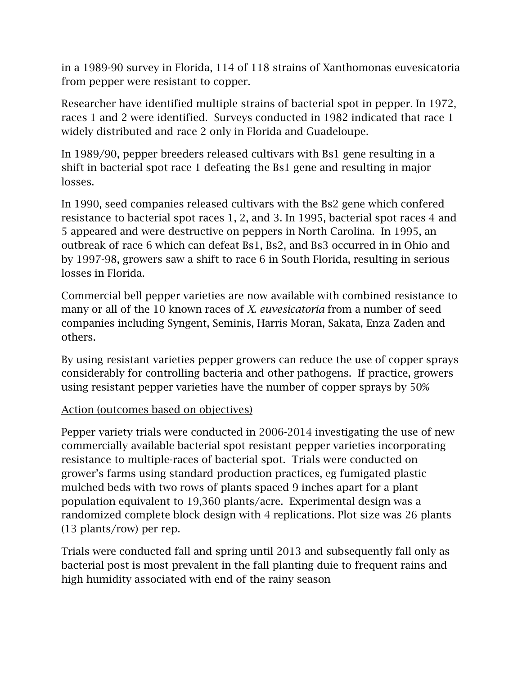in a 1989-90 survey in Florida, 114 of 118 strains of Xanthomonas euvesicatoria from pepper were resistant to copper.

Researcher have identified multiple strains of bacterial spot in pepper. In 1972, races 1 and 2 were identified. Surveys conducted in 1982 indicated that race 1 widely distributed and race 2 only in Florida and Guadeloupe.

In 1989/90, pepper breeders released cultivars with Bs1 gene resulting in a shift in bacterial spot race 1 defeating the Bs1 gene and resulting in major losses.

In 1990, seed companies released cultivars with the Bs2 gene which confered resistance to bacterial spot races 1, 2, and 3. In 1995, bacterial spot races 4 and 5 appeared and were destructive on peppers in North Carolina. In 1995, an outbreak of race 6 which can defeat Bs1, Bs2, and Bs3 occurred in in Ohio and by 1997-98, growers saw a shift to race 6 in South Florida, resulting in serious losses in Florida.

Commercial bell pepper varieties are now available with combined resistance to many or all of the 10 known races of *X. euvesicatoria* from a number of seed companies including Syngent, Seminis, Harris Moran, Sakata, Enza Zaden and others.

By using resistant varieties pepper growers can reduce the use of copper sprays considerably for controlling bacteria and other pathogens. If practice, growers using resistant pepper varieties have the number of copper sprays by 50%

## Action (outcomes based on objectives)

Pepper variety trials were conducted in 2006-2014 investigating the use of new commercially available bacterial spot resistant pepper varieties incorporating resistance to multiple-races of bacterial spot. Trials were conducted on grower's farms using standard production practices, eg fumigated plastic mulched beds with two rows of plants spaced 9 inches apart for a plant population equivalent to 19,360 plants/acre. Experimental design was a randomized complete block design with 4 replications. Plot size was 26 plants (13 plants/row) per rep.

Trials were conducted fall and spring until 2013 and subsequently fall only as bacterial post is most prevalent in the fall planting duie to frequent rains and high humidity associated with end of the rainy season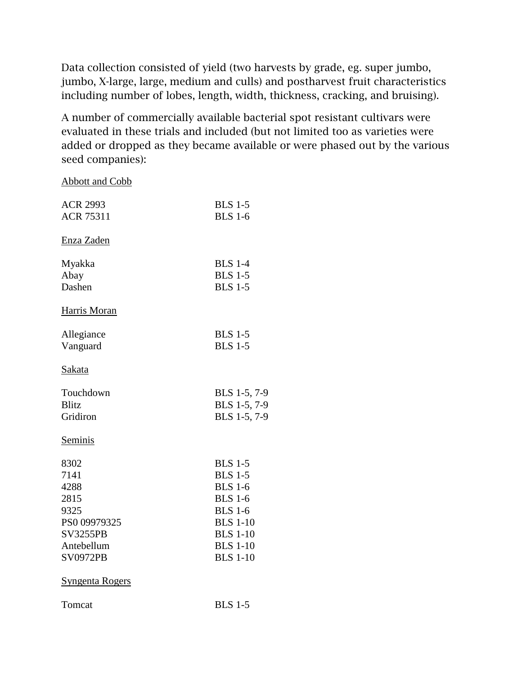Data collection consisted of yield (two harvests by grade, eg. super jumbo, jumbo, X-large, large, medium and culls) and postharvest fruit characteristics including number of lobes, length, width, thickness, cracking, and bruising).

A number of commercially available bacterial spot resistant cultivars were evaluated in these trials and included (but not limited too as varieties were added or dropped as they became available or were phased out by the various seed companies):

| <b>ACR 2993</b>        | <b>BLS 1-5</b>  |
|------------------------|-----------------|
| <b>ACR 75311</b>       | <b>BLS 1-6</b>  |
| Enza Zaden             |                 |
| Myakka                 | <b>BLS</b> 1-4  |
| Abay                   | <b>BLS 1-5</b>  |
| Dashen                 | <b>BLS 1-5</b>  |
| Harris Moran           |                 |
| Allegiance             | <b>BLS 1-5</b>  |
| Vanguard               | <b>BLS 1-5</b>  |
| Sakata                 |                 |
| Touchdown              | BLS 1-5, 7-9    |
| <b>Blitz</b>           | BLS 1-5, 7-9    |
| Gridiron               | BLS 1-5, 7-9    |
| <b>Seminis</b>         |                 |
| 8302                   | <b>BLS 1-5</b>  |
| 7141                   | <b>BLS 1-5</b>  |
| 4288                   | <b>BLS 1-6</b>  |
| 2815                   | <b>BLS 1-6</b>  |
| 9325                   | <b>BLS</b> 1-6  |
| PS0 09979325           | <b>BLS 1-10</b> |
| <b>SV3255PB</b>        | <b>BLS 1-10</b> |
| Antebellum             | <b>BLS</b> 1-10 |
| <b>SV0972PB</b>        | <b>BLS 1-10</b> |
| <b>Syngenta Rogers</b> |                 |
| Tomcat                 | <b>BLS 1-5</b>  |

Abbott and Cobb